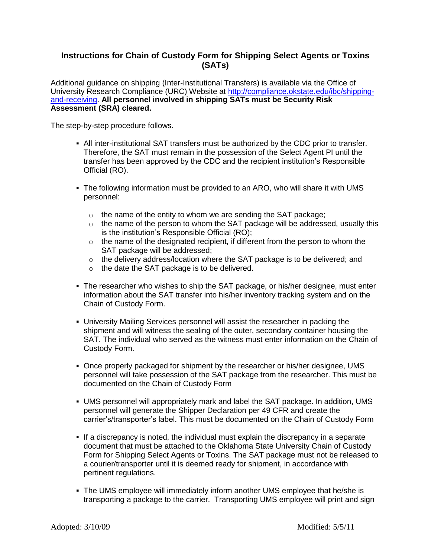## **Instructions for Chain of Custody Form for Shipping Select Agents or Toxins (SATs)**

Additional guidance on shipping (Inter-Institutional Transfers) is available via the Office of University Research Compliance (URC) Website at [http://compliance.okstate.edu/ibc/shipping](http://compliance.okstate.edu/ibc/shipping-and-receiving)[and-receiving.](http://compliance.okstate.edu/ibc/shipping-and-receiving) **All personnel involved in shipping SATs must be Security Risk Assessment (SRA) cleared.**

The step-by-step procedure follows.

- All inter-institutional SAT transfers must be authorized by the CDC prior to transfer. Therefore, the SAT must remain in the possession of the Select Agent PI until the transfer has been approved by the CDC and the recipient institution's Responsible Official (RO).
- The following information must be provided to an ARO, who will share it with UMS personnel:
	- $\circ$  the name of the entity to whom we are sending the SAT package;
	- $\circ$  the name of the person to whom the SAT package will be addressed, usually this is the institution's Responsible Official (RO);
	- $\circ$  the name of the designated recipient, if different from the person to whom the SAT package will be addressed;
	- o the delivery address/location where the SAT package is to be delivered; and
	- o the date the SAT package is to be delivered.
- The researcher who wishes to ship the SAT package, or his/her designee, must enter information about the SAT transfer into his/her inventory tracking system and on the Chain of Custody Form.
- University Mailing Services personnel will assist the researcher in packing the shipment and will witness the sealing of the outer, secondary container housing the SAT. The individual who served as the witness must enter information on the Chain of Custody Form.
- Once properly packaged for shipment by the researcher or his/her designee, UMS personnel will take possession of the SAT package from the researcher. This must be documented on the Chain of Custody Form
- UMS personnel will appropriately mark and label the SAT package. In addition, UMS personnel will generate the Shipper Declaration per 49 CFR and create the carrier's/transporter's label. This must be documented on the Chain of Custody Form
- If a discrepancy is noted, the individual must explain the discrepancy in a separate document that must be attached to the Oklahoma State University Chain of Custody Form for Shipping Select Agents or Toxins. The SAT package must not be released to a courier/transporter until it is deemed ready for shipment, in accordance with pertinent regulations.
- The UMS employee will immediately inform another UMS employee that he/she is transporting a package to the carrier. Transporting UMS employee will print and sign